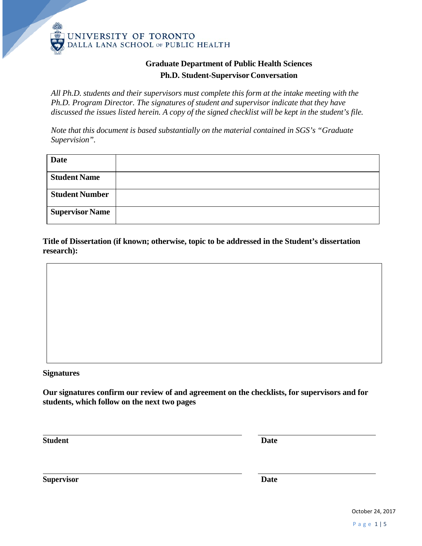

## **Graduate Department of Public Health Sciences Ph.D. Student-Supervisor Conversation**

*All Ph.D. students and their supervisors must complete this form at the intake meeting with the Ph.D. Program Director. The signatures of student and supervisor indicate that they have discussed the issues listed herein. A copy of the signed checklist will be kept in the student's file.*

*Note that this document is based substantially on the material contained in SGS's "Graduate Supervision".*

| <b>Date</b>            |  |
|------------------------|--|
| <b>Student Name</b>    |  |
| <b>Student Number</b>  |  |
| <b>Supervisor Name</b> |  |

**Title of Dissertation (if known; otherwise, topic to be addressed in the Student's dissertation research):**

## **Signatures**

**Our signatures confirm our review of and agreement on the checklists, for supervisors and for students, which follow on the next two pages**

**Student Date**

**Supervisor Date**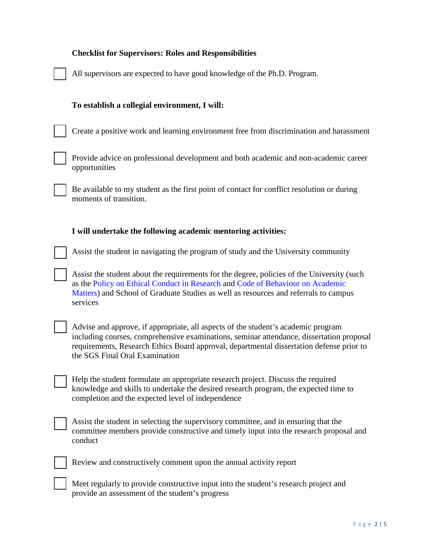| <b>Checklist for Supervisors: Roles and Responsibilities</b>                                                                                                                                                                                                                                                |
|-------------------------------------------------------------------------------------------------------------------------------------------------------------------------------------------------------------------------------------------------------------------------------------------------------------|
| All supervisors are expected to have good knowledge of the Ph.D. Program.                                                                                                                                                                                                                                   |
| To establish a collegial environment, I will:                                                                                                                                                                                                                                                               |
| Create a positive work and learning environment free from discrimination and harassment                                                                                                                                                                                                                     |
| Provide advice on professional development and both academic and non-academic career<br>opportunities                                                                                                                                                                                                       |
| Be available to my student as the first point of contact for conflict resolution or during<br>moments of transition.                                                                                                                                                                                        |
| I will undertake the following academic mentoring activities:                                                                                                                                                                                                                                               |
| Assist the student in navigating the program of study and the University community                                                                                                                                                                                                                          |
| Assist the student about the requirements for the degree, policies of the University (such<br>as the Policy on Ethical Conduct in Research and Code of Behaviour on Academic<br>Matters) and School of Graduate Studies as well as resources and referrals to campus<br>services                            |
| Advise and approve, if appropriate, all aspects of the student's academic program<br>including courses, comprehensive examinations, seminar attendance, dissertation proposal<br>requirements, Research Ethics Board approval, departmental dissertation defense prior to<br>the SGS Final Oral Examination |
| Help the student formulate an appropriate research project. Discuss the required<br>knowledge and skills to undertake the desired research program, the expected time to<br>completion and the expected level of independence                                                                               |
| Assist the student in selecting the supervisory committee, and in ensuring that the<br>committee members provide constructive and timely input into the research proposal and<br>conduct                                                                                                                    |
| Review and constructively comment upon the annual activity report                                                                                                                                                                                                                                           |
| Meet regularly to provide constructive input into the student's research project and<br>provide an assessment of the student's progress                                                                                                                                                                     |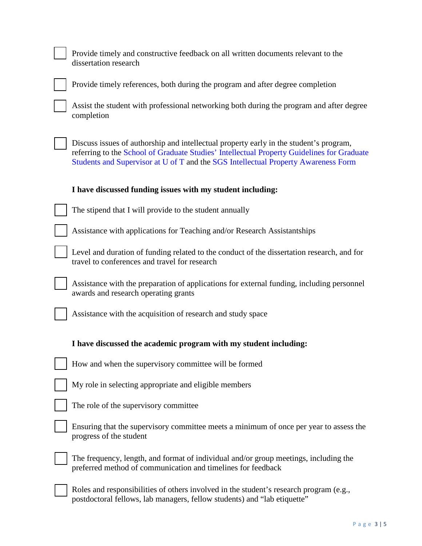| Provide timely and constructive feedback on all written documents relevant to the<br>dissertation research                                                                                                                                                                 |
|----------------------------------------------------------------------------------------------------------------------------------------------------------------------------------------------------------------------------------------------------------------------------|
| Provide timely references, both during the program and after degree completion                                                                                                                                                                                             |
| Assist the student with professional networking both during the program and after degree<br>completion                                                                                                                                                                     |
| Discuss issues of authorship and intellectual property early in the student's program,<br>referring to the School of Graduate Studies' Intellectual Property Guidelines for Graduate<br>Students and Supervisor at U of T and the SGS Intellectual Property Awareness Form |
| I have discussed funding issues with my student including:                                                                                                                                                                                                                 |
| The stipend that I will provide to the student annually                                                                                                                                                                                                                    |
| Assistance with applications for Teaching and/or Research Assistantships                                                                                                                                                                                                   |
| Level and duration of funding related to the conduct of the dissertation research, and for<br>travel to conferences and travel for research                                                                                                                                |
| Assistance with the preparation of applications for external funding, including personnel<br>awards and research operating grants                                                                                                                                          |
| Assistance with the acquisition of research and study space                                                                                                                                                                                                                |
| I have discussed the academic program with my student including:                                                                                                                                                                                                           |
| How and when the supervisory committee will be formed                                                                                                                                                                                                                      |
| My role in selecting appropriate and eligible members                                                                                                                                                                                                                      |
| The role of the supervisory committee                                                                                                                                                                                                                                      |
| Ensuring that the supervisory committee meets a minimum of once per year to assess the<br>progress of the student                                                                                                                                                          |
| The frequency, length, and format of individual and/or group meetings, including the<br>preferred method of communication and timelines for feedback                                                                                                                       |
| Roles and responsibilities of others involved in the student's research program (e.g.,<br>postdoctoral fellows, lab managers, fellow students) and "lab etiquette"                                                                                                         |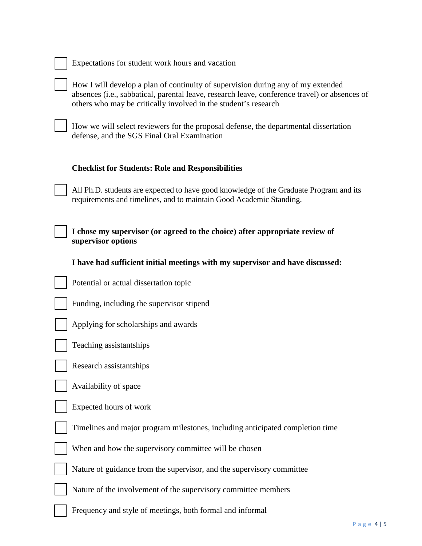| Expectations for student work hours and vacation |  |  |  |
|--------------------------------------------------|--|--|--|
|                                                  |  |  |  |

How I will develop a plan of continuity of supervision during any of my extended absences (i.e., sabbatical, parental leave, research leave, conference travel) or absences of others who may be critically involved in the student's research

How we will select reviewers for the proposal defense, the departmental dissertation defense, and the SGS Final Oral Examination

## **Checklist for Students: Role and Responsibilities**

All Ph.D. students are expected to have good knowledge of the Graduate Program and its requirements and timelines, and to maintain Good Academic Standing.

**I chose my supervisor (or agreed to the choice) after appropriate review of supervisor options** 

**I have had sufficient initial meetings with my supervisor and have discussed:** 

Potential or actual dissertation topic

Funding, including the supervisor stipend

Applying for scholarships and awards



Research assistantships

Availability of space

Expected hours of work

Timelines and major program milestones, including anticipated completion time

When and how the supervisory committee will be chosen

Nature of guidance from the supervisor, and the supervisory committee

Nature of the involvement of the supervisory committee members

Frequency and style of meetings, both formal and informal